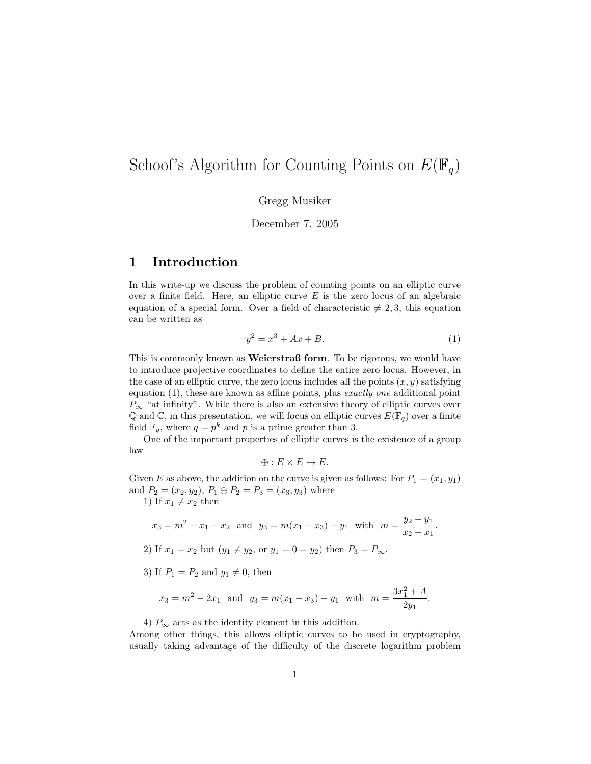# Schoof's Algorithm for Counting Points on  $E(\mathbb{F}_q)$

Gregg Musiker

December 7, 2005

## 1 Introduction

In this write-up we discuss the problem of counting points on an elliptic curve over a finite field. Here, an elliptic curve  $E$  is the zero locus of an algebraic equation of a special form. Over a field of characteristic  $\neq 2, 3$ , this equation can be written as

$$
y^2 = x^3 + Ax + B.
$$
 (1)

This is commonly known as **Weierstraß form**. To be rigorous, we would have to introduce projective coordinates to define the entire zero locus. However, in the case of an elliptic curve, the zero locus includes all the points  $(x, y)$  satisfying equation (1), these are known as affine points, plus exactly one additional point  $P_{\infty}$  "at infinity". While there is also an extensive theory of elliptic curves over  $\mathbb Q$  and  $\mathbb C$ , in this presentation, we will focus on elliptic curves  $E(\mathbb F_q)$  over a finite field  $\mathbb{F}_q$ , where  $q = p^k$  and p is a prime greater than 3.

One of the important properties of elliptic curves is the existence of a group law

$$
\oplus: E \times E \to E.
$$

Given E as above, the addition on the curve is given as follows: For  $P_1 = (x_1, y_1)$ and  $P_2 = (x_2, y_2), P_1 \oplus P_2 = P_3 = (x_3, y_3)$  where

1) If  $x_1 \neq x_2$  then

$$
x_3 = m^2 - x_1 - x_2
$$
 and  $y_3 = m(x_1 - x_3) - y_1$  with  $m = \frac{y_2 - y_1}{x_2 - x_1}$ .

2) If 
$$
x_1 = x_2
$$
 but  $(y_1 \neq y_2)$ , or  $y_1 = 0 = y_2$  then  $P_3 = P_{\infty}$ .

3) If  $P_1 = P_2$  and  $y_1 \neq 0$ , then

$$
x_3 = m^2 - 2x_1
$$
 and  $y_3 = m(x_1 - x_3) - y_1$  with  $m = \frac{3x_1^2 + A}{2y_1}$ .

4)  $P_{\infty}$  acts as the identity element in this addition.

Among other things, this allows elliptic curves to be used in cryptography, usually taking advantage of the difficulty of the discrete logarithm problem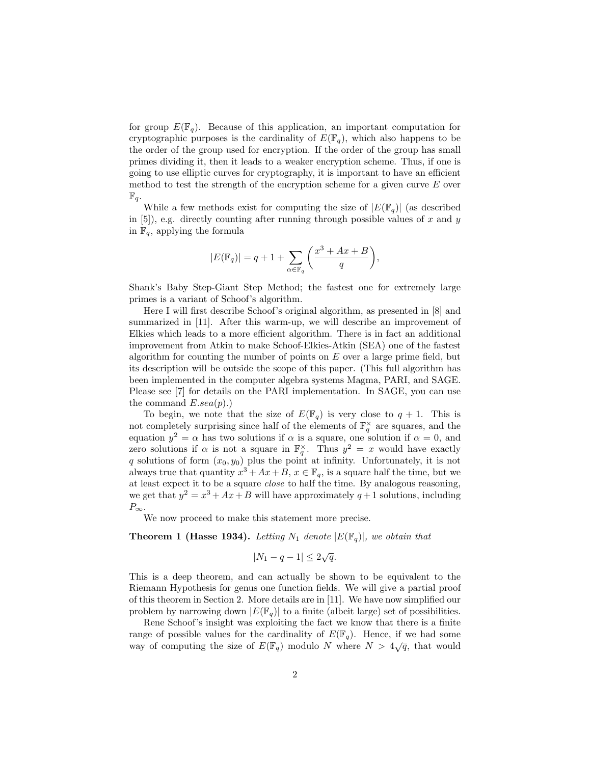for group  $E(\mathbb{F}_q)$ . Because of this application, an important computation for cryptographic purposes is the cardinality of  $E(\mathbb{F}_q)$ , which also happens to be the order of the group used for encryption. If the order of the group has small primes dividing it, then it leads to a weaker encryption scheme. Thus, if one is going to use elliptic curves for cryptography, it is important to have an efficient method to test the strength of the encryption scheme for a given curve  $E$  over  $\mathbb{F}_q$ .

While a few methods exist for computing the size of  $|E(\mathbb{F}_q)|$  (as described in  $[5]$ , e.g. directly counting after running through possible values of x and y in  $\mathbb{F}_q$ , applying the formula

$$
|E(\mathbb{F}_q)| = q + 1 + \sum_{\alpha \in \mathbb{F}_q} \left( \frac{x^3 + Ax + B}{q} \right),
$$

Shank's Baby Step-Giant Step Method; the fastest one for extremely large primes is a variant of Schoof's algorithm.

Here I will first describe Schoof's original algorithm, as presented in [8] and summarized in [11]. After this warm-up, we will describe an improvement of Elkies which leads to a more efficient algorithm. There is in fact an additional improvement from Atkin to make Schoof-Elkies-Atkin (SEA) one of the fastest algorithm for counting the number of points on  $E$  over a large prime field, but its description will be outside the scope of this paper. (This full algorithm has been implemented in the computer algebra systems Magma, PARI, and SAGE. Please see [7] for details on the PARI implementation. In SAGE, you can use the command  $E.sea(p).$ 

To begin, we note that the size of  $E(\mathbb{F}_q)$  is very close to  $q + 1$ . This is not completely surprising since half of the elements of  $\mathbb{F}_q^{\times}$  are squares, and the equation  $y^2 = \alpha$  has two solutions if  $\alpha$  is a square, one solution if  $\alpha = 0$ , and zero solutions if  $\alpha$  is not a square in  $\mathbb{F}_q^{\times}$ . Thus  $y^2 = x$  would have exactly q solutions of form  $(x_0, y_0)$  plus the point at infinity. Unfortunately, it is not always true that quantity  $x^3 + Ax + B$ ,  $x \in \mathbb{F}_q$ , is a square half the time, but we at least expect it to be a square close to half the time. By analogous reasoning, we get that  $y^2 = x^3 + Ax + B$  will have approximately  $q + 1$  solutions, including  $P_{\infty}$ .

We now proceed to make this statement more precise.

**Theorem 1 (Hasse 1934).** Letting  $N_1$  denote  $|E(\mathbb{F}_q)|$ , we obtain that

$$
|N_1 - q - 1| \le 2\sqrt{q}.
$$

This is a deep theorem, and can actually be shown to be equivalent to the Riemann Hypothesis for genus one function fields. We will give a partial proof of this theorem in Section 2. More details are in [11]. We have now simplified our problem by narrowing down  $|E(\mathbb{F}_q)|$  to a finite (albeit large) set of possibilities.

Rene Schoof's insight was exploiting the fact we know that there is a finite range of possible values for the cardinality of  $E(\mathbb{F}_q)$ . Hence, if we had some value of possible values for the cardinality of  $E(\mathbb{F}_q)$ . Hence, if we had some way of computing the size of  $E(\mathbb{F}_q)$  modulo N where  $N > 4\sqrt{q}$ , that would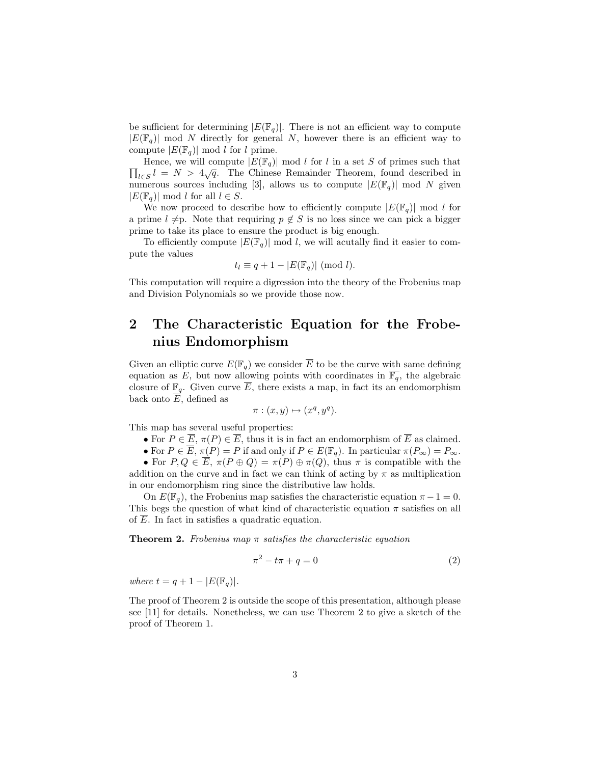be sufficient for determining  $|E(\mathbb{F}_q)|$ . There is not an efficient way to compute  $|E(\mathbb{F}_q)|$  mod N directly for general N, however there is an efficient way to compute  $|E(\mathbb{F}_q)| \bmod l$  for l prime.

There, we will compute  $|E(\mathbb{F}_q)|$  mod t for t in a set  $S$  or primes such that  $\prod_{l\in S} l = N > 4\sqrt{q}$ . The Chinese Remainder Theorem, found described in Hence, we will compute  $|E(\mathbb{F}_q)| \mod l$  for l in a set S of primes such that numerous sources including [3], allows us to compute  $|E(\mathbb{F}_q)|$  mod N given  $|E(\mathbb{F}_q)| \mod l$  for all  $l \in S$ .

We now proceed to describe how to efficiently compute  $|E(\mathbb{F}_q)|$  mod l for a prime  $l \neq p$ . Note that requiring  $p \notin S$  is no loss since we can pick a bigger prime to take its place to ensure the product is big enough.

To efficiently compute  $|E(\mathbb{F}_q)| \mod l$ , we will acutally find it easier to compute the values

$$
t_l \equiv q + 1 - |E(\mathbb{F}_q)| \pmod{l}.
$$

This computation will require a digression into the theory of the Frobenius map and Division Polynomials so we provide those now.

## 2 The Characteristic Equation for the Frobenius Endomorphism

Given an elliptic curve  $E(\mathbb{F}_q)$  we consider E to be the curve with same defining equation as E, but now allowing points with coordinates in  $\overline{\mathbb{F}_q}$ , the algebraic closure of  $\mathbb{F}_q$ . Given curve E, there exists a map, in fact its an endomorphism back onto  $E$ , defined as

$$
\pi : (x, y) \mapsto (x^q, y^q).
$$

This map has several useful properties:

- For  $P \in \overline{E}$ ,  $\pi(P) \in \overline{E}$ , thus it is in fact an endomorphism of  $\overline{E}$  as claimed.
- For  $P \in \overline{E}$ ,  $\pi(P) = P$  if and only if  $P \in E(\mathbb{F}_q)$ . In particular  $\pi(P_\infty) = P_\infty$ .

• For  $P, Q \in \overline{E}$ ,  $\pi(P \oplus Q) = \pi(P) \oplus \pi(Q)$ , thus  $\pi$  is compatible with the addition on the curve and in fact we can think of acting by  $\pi$  as multiplication in our endomorphism ring since the distributive law holds.

On  $E(\mathbb{F}_q)$ , the Frobenius map satisfies the characteristic equation  $\pi - 1 = 0$ . This begs the question of what kind of characteristic equation  $\pi$  satisfies on all of  $\overline{E}$ . In fact in satisfies a quadratic equation.

**Theorem 2.** Frobenius map  $\pi$  satisfies the characteristic equation

$$
\pi^2 - t\pi + q = 0\tag{2}
$$

where  $t = q + 1 - |E(\mathbb{F}_q)|$ .

The proof of Theorem 2 is outside the scope of this presentation, although please see [11] for details. Nonetheless, we can use Theorem 2 to give a sketch of the proof of Theorem 1.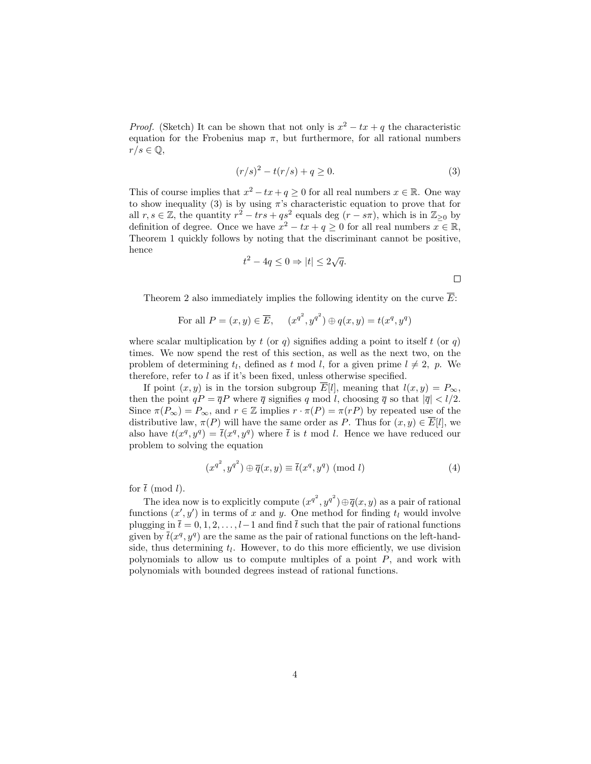*Proof.* (Sketch) It can be shown that not only is  $x^2 - tx + q$  the characteristic equation for the Frobenius map  $\pi$ , but furthermore, for all rational numbers  $r/s \in \mathbb{Q},$ 

$$
(r/s)^2 - t(r/s) + q \ge 0.
$$
 (3)

This of course implies that  $x^2 - tx + q \ge 0$  for all real numbers  $x \in \mathbb{R}$ . One way to show inequality (3) is by using  $\pi$ 's characteristic equation to prove that for all  $r, s \in \mathbb{Z}$ , the quantity  $r^2 - trs + qs^2$  equals deg  $(r - s\pi)$ , which is in  $\mathbb{Z}_{\geq 0}$  by definition of degree. Once we have  $x^2 - tx + q \ge 0$  for all real numbers  $x \in \mathbb{R}$ , Theorem 1 quickly follows by noting that the discriminant cannot be positive, hence √

$$
t^2 - 4q \le 0 \Rightarrow |t| \le 2\sqrt{q}.
$$

 $\Box$ 

Theorem 2 also immediately implies the following identity on the curve  $\overline{E}$ :

For all 
$$
P = (x, y) \in \overline{E}
$$
,  $(x^{q^2}, y^{q^2}) \oplus q(x, y) = t(x^q, y^q)$ 

where scalar multiplication by  $t$  (or  $q$ ) signifies adding a point to itself  $t$  (or  $q$ ) times. We now spend the rest of this section, as well as the next two, on the problem of determining  $t_l$ , defined as  $t \mod l$ , for a given prime  $l \neq 2$ , p. We therefore, refer to  $l$  as if it's been fixed, unless otherwise specified.

If point  $(x, y)$  is in the torsion subgroup  $\overline{E}[l]$ , meaning that  $l(x, y) = P_{\infty}$ , then the point  $qP = \overline{q}P$  where  $\overline{q}$  signifies q mod l, choosing  $\overline{q}$  so that  $|\overline{q}| < l/2$ . Since  $\pi(P_{\infty}) = P_{\infty}$ , and  $r \in \mathbb{Z}$  implies  $r \cdot \pi(P) = \pi(rP)$  by repeated use of the distributive law,  $\pi(P)$  will have the same order as P. Thus for  $(x, y) \in \overline{E}[l]$ , we also have  $t(x^q, y^q) = \bar{t}(x^q, y^q)$  where  $\bar{t}$  is t mod l. Hence we have reduced our problem to solving the equation

$$
(x^{q^2}, y^{q^2}) \oplus \overline{q}(x, y) \equiv \overline{t}(x^q, y^q) \pmod{l}
$$
 (4)

for  $\bar{t}$  (mod l).

The idea now is to explicitly compute  $(x^{q^2}, y^{q^2}) \oplus \overline{q}(x, y)$  as a pair of rational functions  $(x', y')$  in terms of x and y. One method for finding  $t_l$  would involve plugging in  $\bar{t} = 0, 1, 2, \ldots, l-1$  and find  $\bar{t}$  such that the pair of rational functions given by  $\bar{t}(x^q, y^q)$  are the same as the pair of rational functions on the left-handside, thus determining  $t_l$ . However, to do this more efficiently, we use division polynomials to allow us to compute multiples of a point  $P$ , and work with polynomials with bounded degrees instead of rational functions.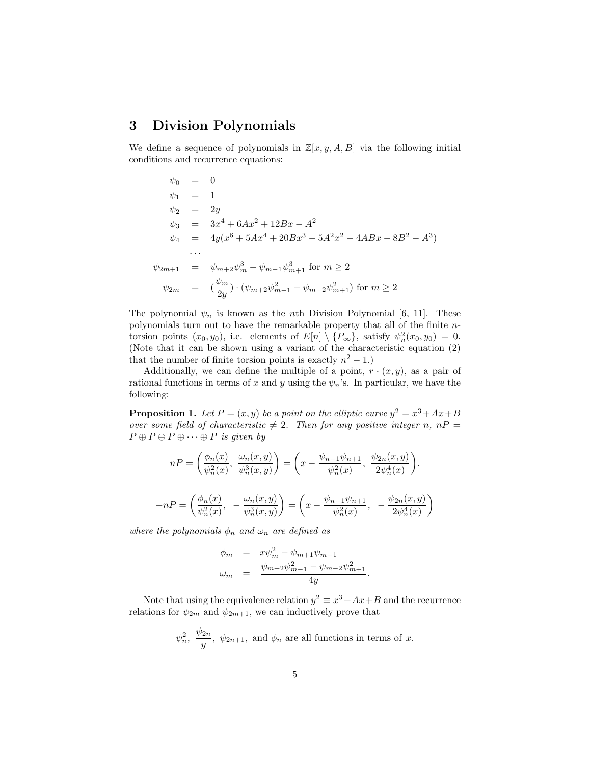## 3 Division Polynomials

We define a sequence of polynomials in  $\mathbb{Z}[x, y, A, B]$  via the following initial conditions and recurrence equations:

$$
\psi_0 = 0
$$
  
\n
$$
\psi_1 = 1
$$
  
\n
$$
\psi_2 = 2y
$$
  
\n
$$
\psi_3 = 3x^4 + 6Ax^2 + 12Bx - A^2
$$
  
\n
$$
\psi_4 = 4y(x^6 + 5Ax^4 + 20Bx^3 - 5A^2x^2 - 4ABx - 8B^2 - A^3)
$$
  
\n...  
\n
$$
\psi_{2m+1} = \psi_{m+2}\psi_m^3 - \psi_{m-1}\psi_{m+1}^3 \text{ for } m \ge 2
$$
  
\n
$$
\psi_{2m} = (\frac{\psi_m}{2y}) \cdot (\psi_{m+2}\psi_{m-1}^2 - \psi_{m-2}\psi_{m+1}^2) \text{ for } m \ge 2
$$

The polynomial  $\psi_n$  is known as the *n*th Division Polynomial [6, 11]. These polynomials turn out to have the remarkable property that all of the finite ntorsion points  $(x_0, y_0)$ , i.e. elements of  $\overline{E}[n] \setminus \{P_{\infty}\}\$ , satisfy  $\psi_n^2(x_0, y_0) = 0$ . (Note that it can be shown using a variant of the characteristic equation (2) that the number of finite torsion points is exactly  $n^2 - 1$ .)

Additionally, we can define the multiple of a point,  $r \cdot (x, y)$ , as a pair of rational functions in terms of x and y using the  $\psi_n$ 's. In particular, we have the following:

**Proposition 1.** Let  $P = (x, y)$  be a point on the elliptic curve  $y^2 = x^3 + Ax + B$ over some field of characteristic  $\neq 2$ . Then for any positive integer n, nP =  $P \oplus P \oplus P \oplus \cdots \oplus P$  is given by

$$
nP = \left(\frac{\phi_n(x)}{\psi_n^2(x)}, \frac{\omega_n(x,y)}{\psi_n^3(x,y)}\right) = \left(x - \frac{\psi_{n-1}\psi_{n+1}}{\psi_n^2(x)}, \frac{\psi_{2n}(x,y)}{2\psi_n^4(x)}\right).
$$

$$
-nP = \left(\frac{\phi_n(x)}{\psi_n^2(x)}, -\frac{\omega_n(x,y)}{\psi_n^3(x,y)}\right) = \left(x - \frac{\psi_{n-1}\psi_{n+1}}{\psi_n^2(x)}, -\frac{\psi_{2n}(x,y)}{2\psi_n^4(x)}\right).
$$

where the polynomials  $\phi_n$  and  $\omega_n$  are defined as

$$
\begin{array}{rcl}\n\phi_m & = & x\psi_m^2 - \psi_{m+1}\psi_{m-1} \\
\omega_m & = & \frac{\psi_{m+2}\psi_{m-1}^2 - \psi_{m-2}\psi_{m+1}^2}{4y}.\n\end{array}
$$

Note that using the equivalence relation  $y^2 \equiv x^3 + Ax + B$  and the recurrence relations for  $\psi_{2m}$  and  $\psi_{2m+1}$ , we can inductively prove that

$$
\psi_n^2
$$
,  $\frac{\psi_{2n}}{y}$ ,  $\psi_{2n+1}$ , and  $\phi_n$  are all functions in terms of x.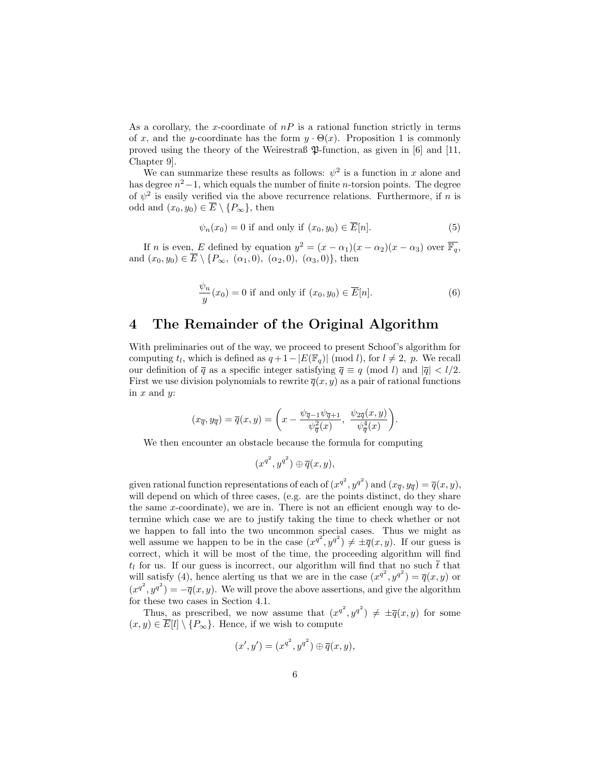As a corollary, the x-coordinate of  $nP$  is a rational function strictly in terms of x, and the y-coordinate has the form  $y \cdot \Theta(x)$ . Proposition 1 is commonly proved using the theory of the Weirestraß  $\mathfrak{P}\text{-function}$ , as given in [6] and [11, Chapter 9].

We can summarize these results as follows:  $\psi^2$  is a function in x alone and has degree  $n^2-1$ , which equals the number of finite *n*-torsion points. The degree of  $\psi^2$  is easily verified via the above recurrence relations. Furthermore, if n is odd and  $(x_0, y_0) \in \overline{E} \setminus \{P_{\infty}\}\$ , then

$$
\psi_n(x_0) = 0 \text{ if and only if } (x_0, y_0) \in \overline{E}[n]. \tag{5}
$$

If *n* is even, *E* defined by equation  $y^2 = (x - \alpha_1)(x - \alpha_2)(x - \alpha_3)$  over  $\overline{\mathbb{F}_q}$ , and  $(x_0, y_0) \in \overline{E} \setminus \{P_\infty, (\alpha_1, 0), (\alpha_2, 0), (\alpha_3, 0)\},\$ then

$$
\frac{\psi_n}{y}(x_0) = 0
$$
 if and only if  $(x_0, y_0) \in \overline{E}[n].$  (6)

## 4 The Remainder of the Original Algorithm

With preliminaries out of the way, we proceed to present Schoof's algorithm for computing  $t_l$ , which is defined as  $q + 1 - |E(\mathbb{F}_q)| \pmod{l}$ , for  $l \neq 2$ , p. We recall our definition of  $\overline{q}$  as a specific integer satisfying  $\overline{q} \equiv q \pmod{l}$  and  $|\overline{q}| < l/2$ . First we use division polynomials to rewrite  $\overline{q}(x, y)$  as a pair of rational functions in  $x$  and  $y$ :

$$
(x_{\overline{q}}, y_{\overline{q}}) = \overline{q}(x, y) = \left(x - \frac{\psi_{\overline{q}-1}\psi_{\overline{q}+1}}{\psi_{\overline{q}}^2(x)}, \frac{\psi_{2\overline{q}}(x, y)}{\psi_{\overline{q}}^4(x)}\right).
$$

We then encounter an obstacle because the formula for computing

$$
(x^{q^2},y^{q^2})\oplus \overline{q}(x,y),
$$

given rational function representations of each of  $(x^{q^2}, y^{q^2})$  and  $(x_{\overline{q}}, y_{\overline{q}}) = \overline{q}(x, y)$ , will depend on which of three cases, (e.g. are the points distinct, do they share the same  $x$ -coordinate), we are in. There is not an efficient enough way to determine which case we are to justify taking the time to check whether or not we happen to fall into the two uncommon special cases. Thus we might as well assume we happen to be in the case  $(x^{q^2}, y^{q^2}) \neq \pm \overline{q}(x, y)$ . If our guess is correct, which it will be most of the time, the proceeding algorithm will find  $t_l$  for us. If our guess is incorrect, our algorithm will find that no such  $\bar{t}$  that will satisfy (4), hence alerting us that we are in the case  $(x^{q^2}, y^{q^2}) = \overline{q}(x, y)$  or  $(x^{q^2}, y^{q^2}) = -\overline{q}(x, y)$ . We will prove the above assertions, and give the algorithm for these two cases in Section 4.1.

Thus, as prescribed, we now assume that  $(x^{q^2}, y^{q^2}) \neq \pm \overline{q}(x, y)$  for some  $(x, y) \in \overline{E}[l] \setminus \{P_{\infty}\}.$  Hence, if we wish to compute

$$
(x', y') = (x^{q^2}, y^{q^2}) \oplus \overline{q}(x, y),
$$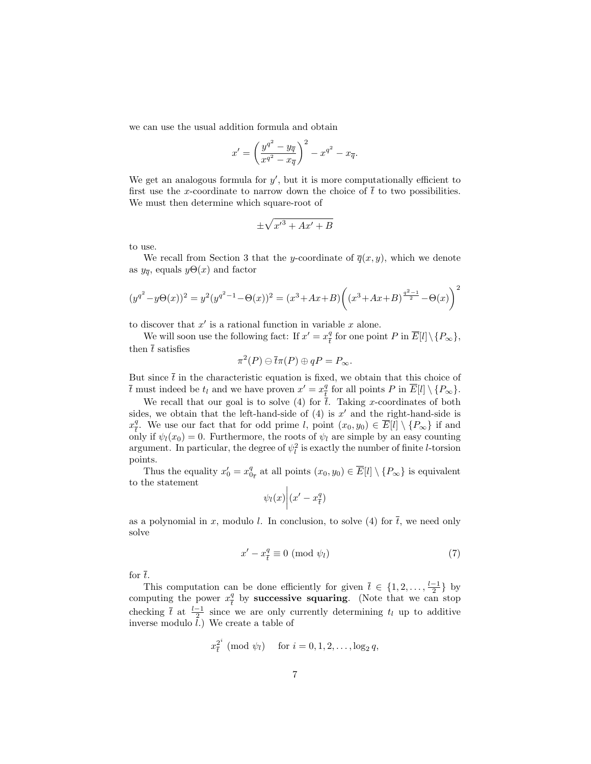we can use the usual addition formula and obtain

$$
x' = \left(\frac{y^{q^2} - y_{\overline{q}}}{x^{q^2} - x_{\overline{q}}}\right)^2 - x^{q^2} - x_{\overline{q}}.
$$

We get an analogous formula for  $y'$ , but it is more computationally efficient to first use the x-coordinate to narrow down the choice of  $\bar{t}$  to two possibilities. We must then determine which square-root of

$$
\pm \sqrt{{x'}^3 + Ax' + B}
$$

to use.

We recall from Section 3 that the y-coordinate of  $\overline{q}(x, y)$ , which we denote as  $y_{\overline{q}}$ , equals  $y\Theta(x)$  and factor

$$
(y^{q^2} - y\Theta(x))^2 = y^2(y^{q^2 - 1} - \Theta(x))^2 = (x^3 + Ax + B)\left((x^3 + Ax + B)^{\frac{q^2 - 1}{2}} - \Theta(x)\right)^2
$$

to discover that  $x'$  is a rational function in variable  $x$  alone.

We will soon use the following fact: If  $x' = x_{\overline{i}}^q$  $\frac{q}{t}$  for one point P in  $E[l] \setminus \{P_{\infty}\},$ then  $\bar{t}$  satisfies

$$
\pi^2(P) \ominus \overline{t}\pi(P) \oplus qP = P_{\infty}.
$$

But since  $\bar{t}$  in the characteristic equation is fixed, we obtain that this choice of  $\overline{t}$  must indeed be  $t_l$  and we have proven  $x' = x_{\overline{t}}^q$  $\frac{q}{t}$  for all points P in  $\overline{E}[l] \setminus \{P_{\infty}\}.$ 

We recall that our goal is to solve (4) for  $\overline{t}$ . Taking x-coordinates of both sides, we obtain that the left-hand-side of  $(4)$  is  $x'$  and the right-hand-side is  $x^q_{\overline{i}}$ <sup>q</sup>. We use our fact that for odd prime l, point  $(x_0, y_0) \in E[l] \setminus \{P_\infty\}$  if and only if  $\psi_l(x_0) = 0$ . Furthermore, the roots of  $\psi_l$  are simple by an easy counting argument. In particular, the degree of  $\psi_l^2$  is exactly the number of finite *l*-torsion points.

Thus the equality  $x'_0 = x_{0_{\bar{\tau}}}^q$  at all points  $(x_0, y_0) \in \overline{E}[l] \setminus \{P_{\infty}\}\$ is equivalent to the statement

$$
\psi_l(x)\bigg|(x'-x_{\overline{t}}^q)
$$

as a polynomial in x, modulo l. In conclusion, to solve (4) for  $\bar{t}$ , we need only solve

$$
x' - x_{\overline{t}}^q \equiv 0 \pmod{\psi_l} \tag{7}
$$

for  $\bar{t}$ .

This computation can be done efficiently for given  $\bar{t} \in \{1, 2, \ldots, \frac{l-1}{2}\}\$  by computing the power  $x_i^q$  $\frac{q}{t}$  by successive squaring. (Note that we can stop checking  $\overline{t}$  at  $\frac{l-1}{2}$  since we are only currently determining  $t_l$  up to additive inverse modulo  $\tilde{l}$ .) We create a table of

$$
x_{\overline{t}}^{2^i} \pmod{\psi_l} \quad \text{ for } i = 0, 1, 2, \dots, \log_2 q,
$$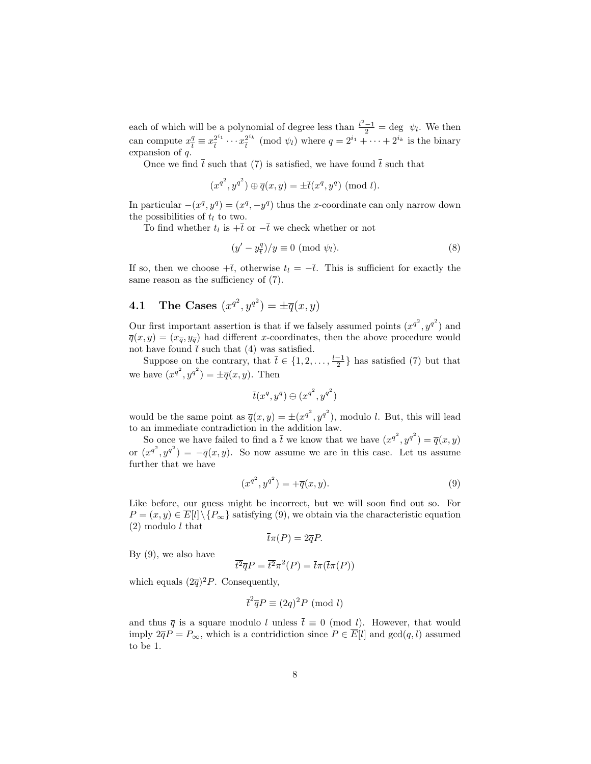each of which will be a polynomial of degree less than  $\frac{l^2-1}{2} = \text{deg } \psi_l$ . We then can compute  $x_i^q$  $\frac{q}{t} \equiv x_{\overline{t}}^{2^{i_1}}$  $\frac{2^{i_1}}{t} \cdots x_{\overline{t}}^{2^{i_k}}$  $\frac{2^{i_k}}{t}$  (mod  $\psi_l$ ) where  $q = 2^{i_1} + \cdots + 2^{i_k}$  is the binary expansion of q.

Once we find  $\bar{t}$  such that (7) is satisfied, we have found  $\bar{t}$  such that

$$
(x^{q^2},y^{q^2})\oplus \overline{q}(x,y)=\pm \overline{t}(x^q,y^q) \ ({\rm mod}\ l).
$$

In particular  $-(x^q, y^q) = (x^q, -y^q)$  thus the x-coordinate can only narrow down the possibilities of  $t_l$  to two.

To find whether  $t_l$  is  $+\overline{t}$  or  $-\overline{t}$  we check whether or not

$$
(y' - y_{\overline{t}}^q)/y \equiv 0 \pmod{\psi_l}.
$$
 (8)

If so, then we choose  $+\bar{t}$ , otherwise  $t<sub>l</sub> = -\bar{t}$ . This is sufficient for exactly the same reason as the sufficiency of (7).

# **4.1** The Cases  $(x^{q^2}, y^{q^2}) = \pm \overline{q}(x, y)$

Our first important assertion is that if we falsely assumed points  $(x^{q^2}, y^{q^2})$  and  $\overline{q}(x, y) = (x_{\overline{q}}, y_{\overline{q}})$  had different x-coordinates, then the above procedure would not have found  $\bar{t}$  such that (4) was satisfied.

Suppose on the contrary, that  $\bar{t} \in \{1, 2, \ldots, \frac{l-1}{2}\}$  has satisfied (7) but that we have  $(x^{q^2}, y^{q^2}) = \pm \overline{q}(x, y)$ . Then

$$
\overline{t}(x^q,y^q) \ominus (x^{q^2},y^{q^2})
$$

would be the same point as  $\overline{q}(x, y) = \pm (x^{q^2}, y^{q^2})$ , modulo l. But, this will lead to an immediate contradiction in the addition law.

So once we have failed to find a  $\bar{t}$  we know that we have  $(x^{q^2}, y^{q^2}) = \bar{q}(x, y)$ or  $(x^{q^2}, y^{q^2}) = -\overline{q}(x, y)$ . So now assume we are in this case. Let us assume further that we have

$$
(x^{q^2}, y^{q^2}) = +\overline{q}(x, y). \tag{9}
$$

Like before, our guess might be incorrect, but we will soon find out so. For  $P = (x, y) \in \overline{E}[l] \setminus \{P_{\infty}\}\$  satisfying (9), we obtain via the characteristic equation  $(2)$  modulo l that

$$
\bar{t}\pi(P) = 2\overline{q}P.
$$

By (9), we also have

$$
\overline{t^2}\overline{q}P = \overline{t^2}\pi^2(P) = \overline{t}\pi(\overline{t}\pi(P))
$$

which equals  $(2\overline{q})^2 P$ . Consequently,

$$
\bar{t}^2 \overline{q} P \equiv (2q)^2 P \pmod{l}
$$

and thus  $\bar{q}$  is a square modulo l unless  $\bar{t} \equiv 0 \pmod{l}$ . However, that would imply  $2\overline{q}P = P_{\infty}$ , which is a contridiction since  $P \in \overline{E}[l]$  and  $gcd(q, l)$  assumed to be 1.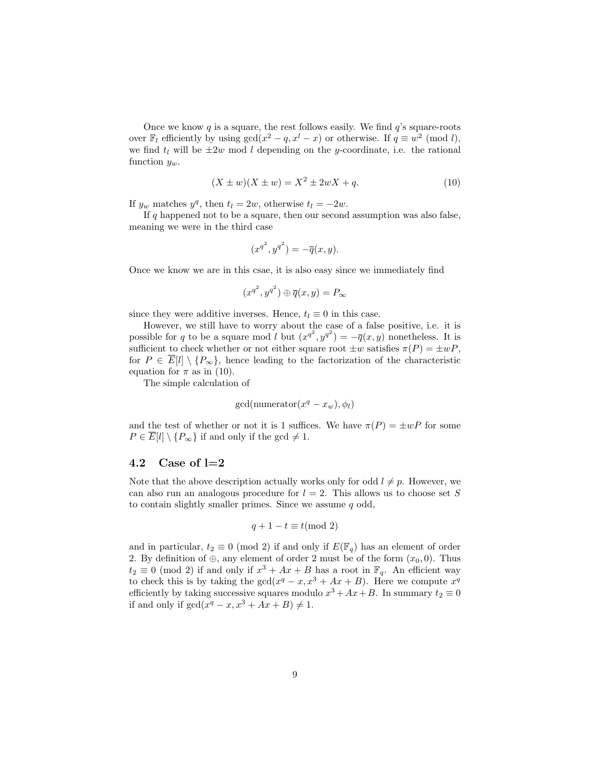Once we know  $q$  is a square, the rest follows easily. We find  $q$ 's square-roots over  $\mathbb{F}_l$  efficiently by using  $gcd(x^2 - q, x^l - x)$  or otherwise. If  $q \equiv w^2 \pmod{l}$ , we find  $t_l$  will be  $\pm 2w$  mod l depending on the y-coordinate, i.e. the rational function  $y_w$ .

$$
(X \pm w)(X \pm w) = X^2 \pm 2wX + q.
$$
 (10)

If  $y_w$  matches  $y^q$ , then  $t_l = 2w$ , otherwise  $t_l = -2w$ .

If q happened not to be a square, then our second assumption was also false, meaning we were in the third case

$$
(x^{q^2}, y^{q^2}) = -\overline{q}(x, y).
$$

Once we know we are in this csae, it is also easy since we immediately find

$$
(x^{q^2}, y^{q^2}) \oplus \overline{q}(x, y) = P_{\infty}
$$

since they were additive inverses. Hence,  $t<sub>l</sub> \equiv 0$  in this case.

However, we still have to worry about the case of a false positive, i.e. it is possible for q to be a square mod l but  $(x^{q^2}, y^{q^2}) = -\overline{q}(x, y)$  nonetheless. It is sufficient to check whether or not either square root  $\pm w$  satisfies  $\pi(P) = \pm wP$ , for  $P \in \overline{E}[l] \setminus \{P_{\infty}\}\)$ , hence leading to the factorization of the characteristic equation for  $\pi$  as in (10).

The simple calculation of

$$
\gcd(\text{numerator}(x^q - x_w), \phi_l)
$$

and the test of whether or not it is 1 suffices. We have  $\pi(P) = \pm wP$  for some  $P \in \overline{E}[l] \setminus \{P_{\infty}\}\$ if and only if the gcd  $\neq 1$ .

#### 4.2 Case of  $l=2$

Note that the above description actually works only for odd  $l \neq p$ . However, we can also run an analogous procedure for  $l = 2$ . This allows us to choose set S to contain slightly smaller primes. Since we assume  $q$  odd,

$$
q + 1 - t \equiv t \pmod{2}
$$

and in particular,  $t_2 \equiv 0 \pmod{2}$  if and only if  $E(\mathbb{F}_q)$  has an element of order 2. By definition of  $\oplus$ , any element of order 2 must be of the form  $(x_0, 0)$ . Thus  $t_2 \equiv 0 \pmod{2}$  if and only if  $x^3 + Ax + B$  has a root in  $\mathbb{F}_q$ . An efficient way to check this is by taking the  $gcd(x^q - x, x^3 + Ax + B)$ . Here we compute  $x^q$ efficiently by taking successive squares modulo  $x^3 + Ax + B$ . In summary  $t_2 \equiv 0$ if and only if  $gcd(x^q - x, x^3 + Ax + B) \neq 1$ .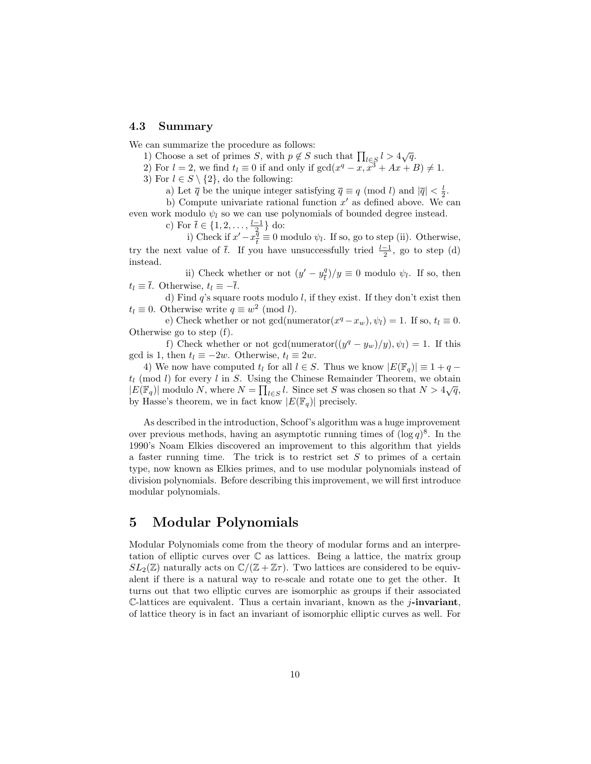#### 4.3 Summary

We can summarize the procedure as follows:

1) Choose a set of primes S, with  $p \notin S$  such that  $\prod_{l \in S} l > 4\sqrt{q}$ .

2) For  $l = 2$ , we find  $t_l \equiv 0$  if and only if  $gcd(x^q - x, x^3 + Ax + B) \neq 1$ .

3) For  $l \in S \setminus \{2\}$ , do the following:

a) Let  $\overline{q}$  be the unique integer satisfying  $\overline{q} \equiv q \pmod{l}$  and  $|\overline{q}| < \frac{l}{2}$ .

b) Compute univariate rational function  $x'$  as defined above. We can even work modulo  $\psi_l$  so we can use polynomials of bounded degree instead.

c) For  $\bar{t} \in \{1, 2, \ldots, \frac{l-1}{2}\}$  do:

i) Check if  $x' - x^{\frac{5}{4}}$  $\frac{q}{t} \equiv 0$  modulo  $\psi_l$ . If so, go to step (ii). Otherwise, try the next value of  $\bar{t}$ . If you have unsuccessfully tried  $\frac{l-1}{2}$ , go to step (d) instead.

ii) Check whether or not  $(y'-y_{\tau}^q)$  $\left(\frac{q}{t}\right)/y \equiv 0$  modulo  $\psi_l$ . If so, then  $t_l \equiv \overline{t}$ . Otherwise,  $t_l \equiv -\overline{t}$ .

d) Find  $q$ 's square roots modulo  $l$ , if they exist. If they don't exist then  $t_l \equiv 0$ . Otherwise write  $q \equiv w^2 \pmod{l}$ .

e) Check whether or not gcd(numerator $(x^q - x_w)$ ,  $\psi_l$ ) = 1. If so,  $t_l \equiv 0$ . Otherwise go to step (f).

f) Check whether or not gcd(numerator $((y^q - y_w)/y), \psi_l) = 1$ . If this gcd is 1, then  $t_l \equiv -2w$ . Otherwise,  $t_l \equiv 2w$ .

4) We now have computed  $t_l$  for all  $l \in S$ . Thus we know  $|E(\mathbb{F}_q)| \equiv 1 + q$  $t_l$  (mod l) for every l in S. Using the Chinese Remainder Theorem, we obtain  $|E(\mathbb{F}_q)|$  modulo N, where  $N = \prod_{l \in S} l$ . Since set S was chosen so that  $N > 4\sqrt{q}$ , by Hasse's theorem, we in fact know  $|E(\mathbb{F}_q)|$  precisely.

As described in the introduction, Schoof's algorithm was a huge improvement over previous methods, having an asymptotic running times of  $(\log q)^8$ . In the 1990's Noam Elkies discovered an improvement to this algorithm that yields a faster running time. The trick is to restrict set S to primes of a certain type, now known as Elkies primes, and to use modular polynomials instead of division polynomials. Before describing this improvement, we will first introduce modular polynomials.

## 5 Modular Polynomials

Modular Polynomials come from the theory of modular forms and an interpretation of elliptic curves over  $\mathbb C$  as lattices. Being a lattice, the matrix group  $SL_2(\mathbb{Z})$  naturally acts on  $\mathbb{C}/(\mathbb{Z} + \mathbb{Z}\tau)$ . Two lattices are considered to be equivalent if there is a natural way to re-scale and rotate one to get the other. It turns out that two elliptic curves are isomorphic as groups if their associated  $\mathbb{C}\text{-lattices are equivalent. Thus a certain invariant, known as the *j*-invariant,$ of lattice theory is in fact an invariant of isomorphic elliptic curves as well. For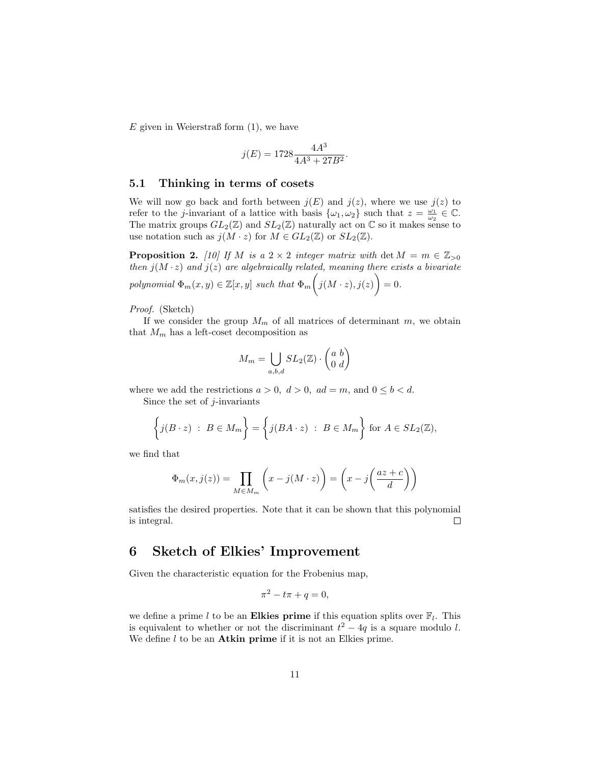$E$  given in Weierstraß form  $(1)$ , we have

$$
j(E)=1728\frac{4A^3}{4A^3+27B^2}
$$

.

#### 5.1 Thinking in terms of cosets

We will now go back and forth between  $j(E)$  and  $j(z)$ , where we use  $j(z)$  to refer to the *j*-invariant of a lattice with basis  $\{\omega_1, \omega_2\}$  such that  $z = \frac{\omega_1}{\omega_2} \in \mathbb{C}$ . The matrix groups  $GL_2(\mathbb{Z})$  and  $SL_2(\mathbb{Z})$  naturally act on  $\mathbb C$  so it makes sense to use notation such as  $j(M \cdot z)$  for  $M \in GL_2(\mathbb{Z})$  or  $SL_2(\mathbb{Z})$ .

**Proposition 2.** [10] If M is a  $2 \times 2$  integer matrix with det  $M = m \in \mathbb{Z}_{>0}$ then  $j(M \cdot z)$  and  $j(z)$  are algebraically related, meaning there exists a bivariate polynomial  $\Phi_m(x, y) \in \mathbb{Z}[x, y]$  such that  $\Phi_m\Big(j(M \cdot z), j(z)\Big) = 0$ .

Proof. (Sketch)

If we consider the group  $M_m$  of all matrices of determinant m, we obtain that  $M_m$  has a left-coset decomposition as

$$
M_m = \bigcup_{a,b,d} SL_2(\mathbb{Z}) \cdot \begin{pmatrix} a & b \\ 0 & d \end{pmatrix}
$$

where we add the restrictions  $a > 0$ ,  $d > 0$ ,  $ad = m$ , and  $0 \leq b < d$ .

Since the set of  $j$ -invariants

$$
\left\{ j(B \cdot z) \; : \; B \in M_m \right\} = \left\{ j(BA \cdot z) \; : \; B \in M_m \right\} \text{ for } A \in SL_2(\mathbb{Z}),
$$

we find that

$$
\Phi_m(x,j(z)) = \prod_{M \in M_m} \left( x - j(M \cdot z) \right) = \left( x - j \left( \frac{az + c}{d} \right) \right)
$$

satisfies the desired properties. Note that it can be shown that this polynomial is integral.  $\Box$ 

## 6 Sketch of Elkies' Improvement

Given the characteristic equation for the Frobenius map,

$$
\pi^2 - t\pi + q = 0,
$$

we define a prime l to be an **Elkies prime** if this equation splits over  $\mathbb{F}_l$ . This is equivalent to whether or not the discriminant  $t^2 - 4q$  is a square modulo l. We define  $l$  to be an **Atkin prime** if it is not an Elkies prime.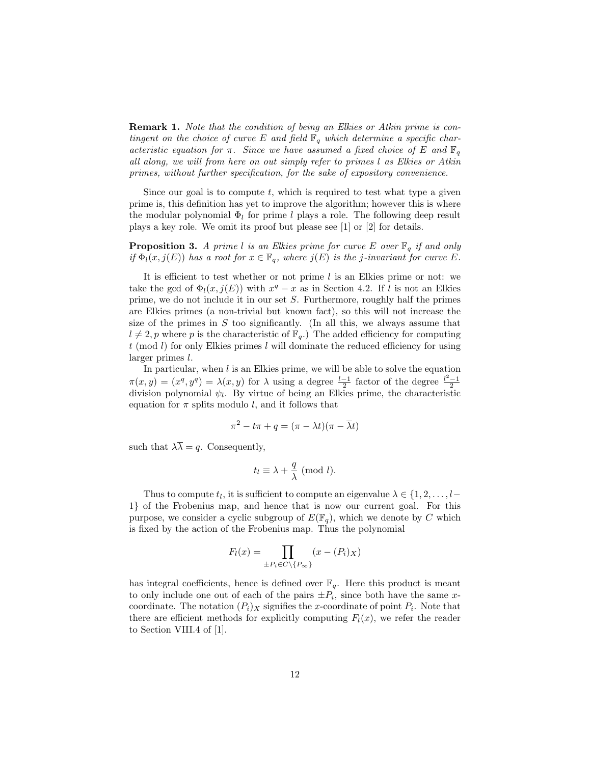Remark 1. Note that the condition of being an Elkies or Atkin prime is contingent on the choice of curve E and field  $\mathbb{F}_q$  which determine a specific characteristic equation for  $\pi$ . Since we have assumed a fixed choice of E and  $\mathbb{F}_q$ all along, we will from here on out simply refer to primes l as Elkies or Atkin primes, without further specification, for the sake of expository convenience.

Since our goal is to compute t, which is required to test what type a given prime is, this definition has yet to improve the algorithm; however this is where the modular polynomial  $\Phi_l$  for prime l plays a role. The following deep result plays a key role. We omit its proof but please see [1] or [2] for details.

**Proposition 3.** A prime l is an Elkies prime for curve E over  $\mathbb{F}_q$  if and only if  $\Phi_l(x, j(E))$  has a root for  $x \in \mathbb{F}_q$ , where  $j(E)$  is the j-invariant for curve E.

It is efficient to test whether or not prime  $l$  is an Elkies prime or not: we take the gcd of  $\Phi_l(x,j(E))$  with  $x^q - x$  as in Section 4.2. If l is not an Elkies prime, we do not include it in our set  $S$ . Furthermore, roughly half the primes are Elkies primes (a non-trivial but known fact), so this will not increase the size of the primes in  $S$  too significantly. (In all this, we always assume that  $l \neq 2$ , p where p is the characteristic of  $\mathbb{F}_q$ .) The added efficiency for computing  $t \pmod{l}$  for only Elkies primes l will dominate the reduced efficiency for using larger primes l.

In particular, when  $l$  is an Elkies prime, we will be able to solve the equation  $\pi(x,y) = (x^q, y^q) = \lambda(x,y)$  for  $\lambda$  using a degree  $\frac{l-1}{2}$  factor of the degree  $\frac{l^2-1}{2}$ division polynomial  $\psi_l$ . By virtue of being an Elkies prime, the characteristic equation for  $\pi$  splits modulo l, and it follows that

$$
\pi^2 - t\pi + q = (\pi - \lambda t)(\pi - \overline{\lambda}t)
$$

such that  $\lambda \overline{\lambda} = q$ . Consequently,

$$
t_l \equiv \lambda + \frac{q}{\lambda} \; (\text{mod } l).
$$

Thus to compute  $t_l$ , it is sufficient to compute an eigenvalue  $\lambda \in \{1, 2, \ldots, l-\}$ 1} of the Frobenius map, and hence that is now our current goal. For this purpose, we consider a cyclic subgroup of  $E(\mathbb{F}_q)$ , which we denote by C which is fixed by the action of the Frobenius map. Thus the polynomial

$$
F_l(x) = \prod_{\pm P_i \in C \setminus \{P_{\infty}\}} (x - (P_i)_X)
$$

has integral coefficients, hence is defined over  $\mathbb{F}_q$ . Here this product is meant to only include one out of each of the pairs  $\pm P_i$ , since both have the same xcoordinate. The notation  $(P_i)_X$  signifies the x-coordinate of point  $P_i$ . Note that there are efficient methods for explicitly computing  $F_l(x)$ , we refer the reader to Section VIII.4 of [1].